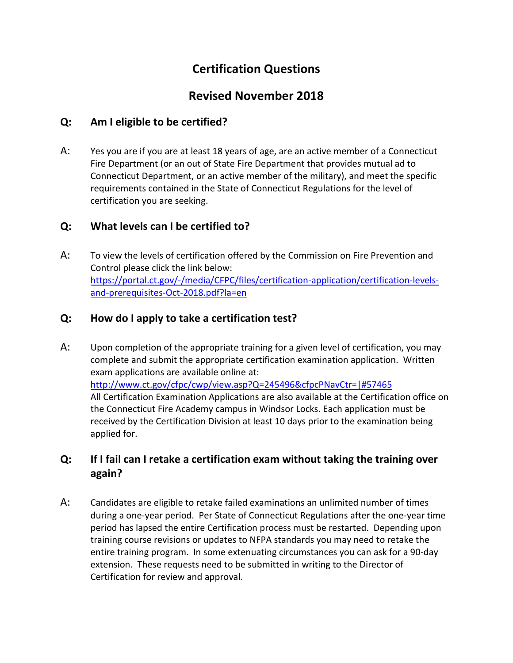# **Certification Questions**

## **Revised November 2018**

#### **Q: Am I eligible to be certified?**

A: Yes you are if you are at least 18 years of age, are an active member of a Connecticut Fire Department (or an out of State Fire Department that provides mutual ad to Connecticut Department, or an active member of the military), and meet the specific requirements contained in the State of Connecticut Regulations for the level of certification you are seeking.

### **Q: What levels can I be certified to?**

A: To view the levels of certification offered by the Commission on Fire Prevention and Control please click the link below: [https://portal.ct.gov/-/media/CFPC/files/certification-application/certification-levels](https://portal.ct.gov/-/media/CFPC/files/certification-application/certification-levels-%09and-prerequisites-Oct-2018.pdf?la=en)[and-prerequisites-Oct-2018.pdf?la=en](https://portal.ct.gov/-/media/CFPC/files/certification-application/certification-levels-%09and-prerequisites-Oct-2018.pdf?la=en)

### **Q: How do I apply to take a certification test?**

A: Upon completion of the appropriate training for a given level of certification, you may complete and submit the appropriate certification examination application. Written exam applications are available online at: <http://www.ct.gov/cfpc/cwp/view.asp?Q=245496&cfpcPNavCtr=|#57465> All Certification Examination Applications are also available at the Certification office on the Connecticut Fire Academy campus in Windsor Locks. Each application must be received by the Certification Division at least 10 days prior to the examination being applied for.

### **Q: If I fail can I retake a certification exam without taking the training over again?**

A: Candidates are eligible to retake failed examinations an unlimited number of times during a one-year period. Per State of Connecticut Regulations after the one-year time period has lapsed the entire Certification process must be restarted. Depending upon training course revisions or updates to NFPA standards you may need to retake the entire training program. In some extenuating circumstances you can ask for a 90-day extension. These requests need to be submitted in writing to the Director of Certification for review and approval.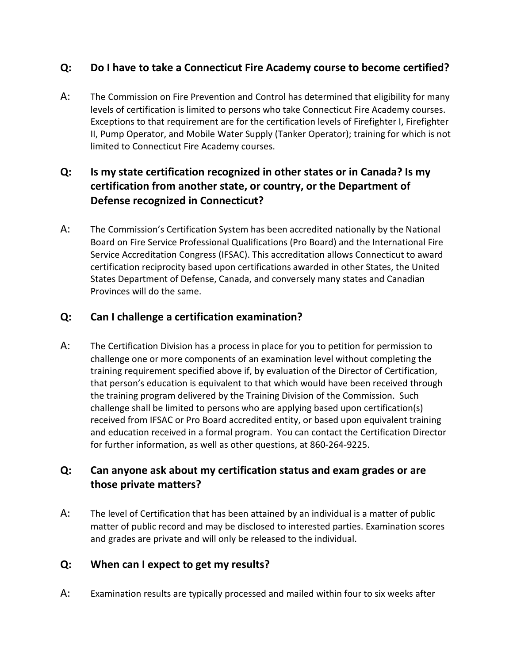### **Q: Do I have to take a Connecticut Fire Academy course to become certified?**

A: The Commission on Fire Prevention and Control has determined that eligibility for many levels of certification is limited to persons who take Connecticut Fire Academy courses. Exceptions to that requirement are for the certification levels of Firefighter I, Firefighter II, Pump Operator, and Mobile Water Supply (Tanker Operator); training for which is not limited to Connecticut Fire Academy courses.

### **Q: Is my state certification recognized in other states or in Canada? Is my certification from another state, or country, or the Department of Defense recognized in Connecticut?**

A: The Commission's Certification System has been accredited nationally by the National Board on Fire Service Professional Qualifications (Pro Board) and the International Fire Service Accreditation Congress (IFSAC). This accreditation allows Connecticut to award certification reciprocity based upon certifications awarded in other States, the United States Department of Defense, Canada, and conversely many states and Canadian Provinces will do the same.

### **Q: Can I challenge a certification examination?**

A: The Certification Division has a process in place for you to petition for permission to challenge one or more components of an examination level without completing the training requirement specified above if, by evaluation of the Director of Certification, that person's education is equivalent to that which would have been received through the training program delivered by the Training Division of the Commission. Such challenge shall be limited to persons who are applying based upon certification(s) received from IFSAC or Pro Board accredited entity, or based upon equivalent training and education received in a formal program. You can contact the Certification Director for further information, as well as other questions, at 860-264-9225.

### **Q: Can anyone ask about my certification status and exam grades or are those private matters?**

A: The level of Certification that has been attained by an individual is a matter of public matter of public record and may be disclosed to interested parties. Examination scores and grades are private and will only be released to the individual.

### **Q: When can I expect to get my results?**

A: Examination results are typically processed and mailed within four to six weeks after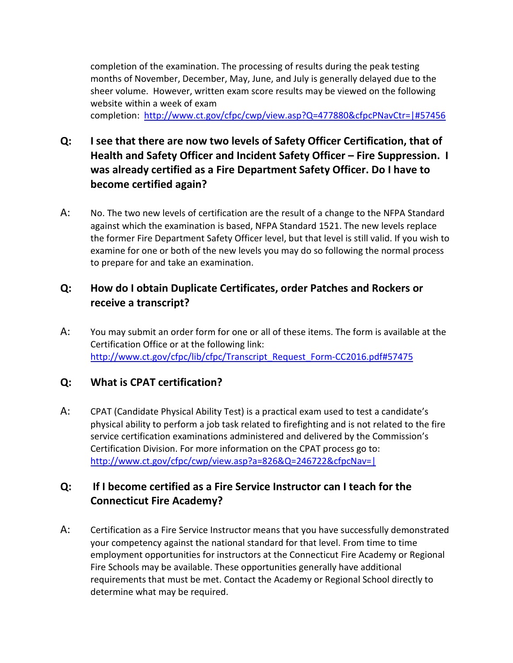completion of the examination. The processing of results during the peak testing months of November, December, May, June, and July is generally delayed due to the sheer volume. However, written exam score results may be viewed on the following website within a week of exam completion: <http://www.ct.gov/cfpc/cwp/view.asp?Q=477880&cfpcPNavCtr=|#57456>

- **Q: I see that there are now two levels of Safety Officer Certification, that of Health and Safety Officer and Incident Safety Officer – Fire Suppression. I was already certified as a Fire Department Safety Officer. Do I have to become certified again?**
- A: No. The two new levels of certification are the result of a change to the NFPA Standard against which the examination is based, NFPA Standard 1521. The new levels replace the former Fire Department Safety Officer level, but that level is still valid. If you wish to examine for one or both of the new levels you may do so following the normal process to prepare for and take an examination.

### **Q: How do I obtain Duplicate Certificates, order Patches and Rockers or receive a transcript?**

A: You may submit an order form for one or all of these items. The form is available at the Certification Office or at the following link: [http://www.ct.gov/cfpc/lib/cfpc/Transcript\\_Request\\_Form-CC2016.pdf#57475](http://www.ct.gov/cfpc/lib/cfpc/Transcript_Request_Form-CC2016.pdf#57475)

### **Q: What is CPAT certification?**

A: CPAT (Candidate Physical Ability Test) is a practical exam used to test a candidate's physical ability to perform a job task related to firefighting and is not related to the fire service certification examinations administered and delivered by the Commission's Certification Division. For more information on the CPAT process go to: <http://www.ct.gov/cfpc/cwp/view.asp?a=826&Q=246722&cfpcNav=|>

### **Q: If I become certified as a Fire Service Instructor can I teach for the Connecticut Fire Academy?**

A: Certification as a Fire Service Instructor means that you have successfully demonstrated your competency against the national standard for that level. From time to time employment opportunities for instructors at the Connecticut Fire Academy or Regional Fire Schools may be available. These opportunities generally have additional requirements that must be met. Contact the Academy or Regional School directly to determine what may be required.